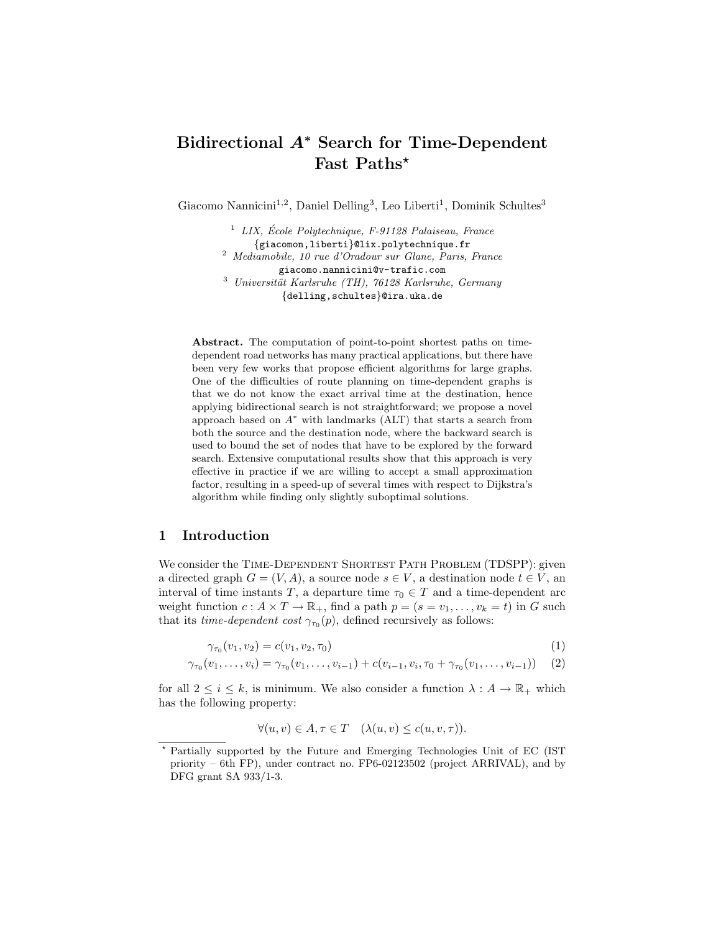# Bidirectional A<sup>∗</sup> Search for Time-Dependent Fast Paths\*

Giacomo Nannicini<sup>1,2</sup>, Daniel Delling<sup>3</sup>, Leo Liberti<sup>1</sup>, Dominik Schultes<sup>3</sup>

 $1$  LIX, École Polytechnique, F-91128 Palaiseau, France {giacomon,liberti}@lix.polytechnique.fr <sup>2</sup> Mediamobile, 10 rue d'Oradour sur Glane, Paris, France giacomo.nannicini@v-trafic.com  $3$  Universität Karlsruhe (TH), 76128 Karlsruhe, Germany {delling,schultes}@ira.uka.de

Abstract. The computation of point-to-point shortest paths on timedependent road networks has many practical applications, but there have been very few works that propose efficient algorithms for large graphs. One of the difficulties of route planning on time-dependent graphs is that we do not know the exact arrival time at the destination, hence applying bidirectional search is not straightforward; we propose a novel approach based on  $A^*$  with landmarks (ALT) that starts a search from both the source and the destination node, where the backward search is used to bound the set of nodes that have to be explored by the forward search. Extensive computational results show that this approach is very effective in practice if we are willing to accept a small approximation factor, resulting in a speed-up of several times with respect to Dijkstra's algorithm while finding only slightly suboptimal solutions.

# 1 Introduction

We consider the TIME-DEPENDENT SHORTEST PATH PROBLEM (TDSPP): given a directed graph  $G = (V, A)$ , a source node  $s \in V$ , a destination node  $t \in V$ , an interval of time instants T, a departure time  $\tau_0 \in T$  and a time-dependent arc weight function  $c: A \times T \to \mathbb{R}_+$ , find a path  $p = (s = v_1, \ldots, v_k = t)$  in G such that its *time-dependent cost*  $\gamma_{\tau_0}(p)$ , defined recursively as follows:

$$
\gamma_{\tau_0}(v_1, v_2) = c(v_1, v_2, \tau_0) \tag{1}
$$

$$
\gamma_{\tau_0}(v_1,\ldots,v_i) = \gamma_{\tau_0}(v_1,\ldots,v_{i-1}) + c(v_{i-1},v_i,\tau_0 + \gamma_{\tau_0}(v_1,\ldots,v_{i-1})) \quad (2)
$$

for all  $2 \leq i \leq k$ , is minimum. We also consider a function  $\lambda : A \to \mathbb{R}_+$  which has the following property:

$$
\forall (u, v) \in A, \tau \in T \quad (\lambda(u, v) \le c(u, v, \tau)).
$$

<sup>?</sup> Partially supported by the Future and Emerging Technologies Unit of EC (IST priority – 6th FP), under contract no. FP6-02123502 (project ARRIVAL), and by DFG grant SA 933/1-3.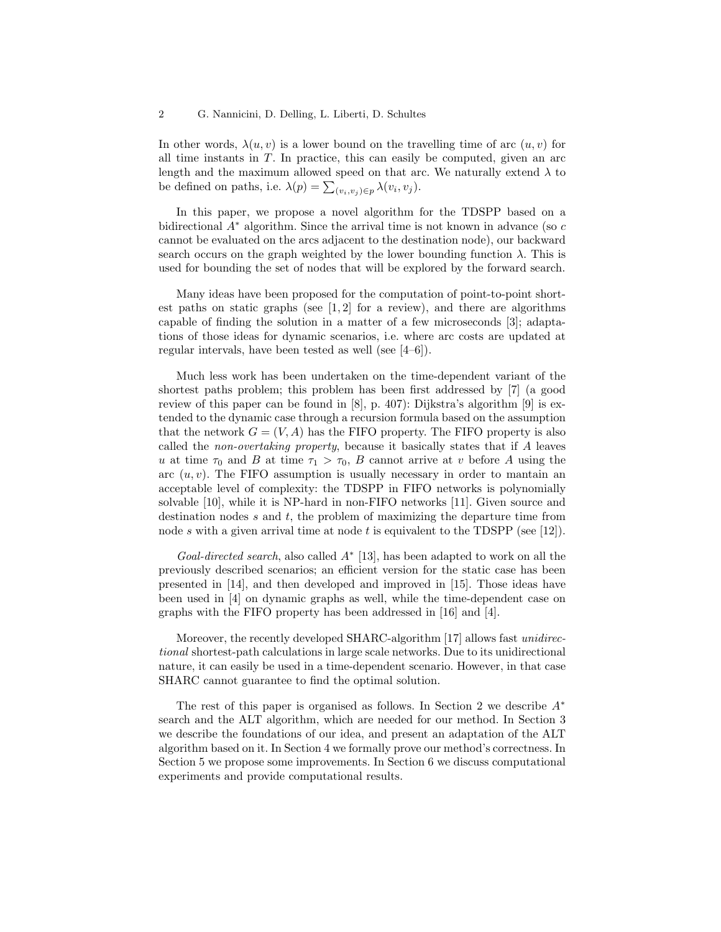In other words,  $\lambda(u, v)$  is a lower bound on the travelling time of arc  $(u, v)$  for all time instants in  $T$ . In practice, this can easily be computed, given an arc length and the maximum allowed speed on that arc. We naturally extend  $\lambda$  to be defined on paths, i.e.  $\lambda(p) = \sum_{(v_i, v_j) \in p} \lambda(v_i, v_j)$ .

In this paper, we propose a novel algorithm for the TDSPP based on a bidirectional  $A^*$  algorithm. Since the arrival time is not known in advance (so c cannot be evaluated on the arcs adjacent to the destination node), our backward search occurs on the graph weighted by the lower bounding function  $\lambda$ . This is used for bounding the set of nodes that will be explored by the forward search.

Many ideas have been proposed for the computation of point-to-point shortest paths on static graphs (see  $[1,2]$  for a review), and there are algorithms capable of finding the solution in a matter of a few microseconds [3]; adaptations of those ideas for dynamic scenarios, i.e. where arc costs are updated at regular intervals, have been tested as well (see [4–6]).

Much less work has been undertaken on the time-dependent variant of the shortest paths problem; this problem has been first addressed by [7] (a good review of this paper can be found in [8], p. 407): Dijkstra's algorithm [9] is extended to the dynamic case through a recursion formula based on the assumption that the network  $G = (V, A)$  has the FIFO property. The FIFO property is also called the non-overtaking property, because it basically states that if A leaves u at time  $\tau_0$  and B at time  $\tau_1 > \tau_0$ , B cannot arrive at v before A using the arc  $(u, v)$ . The FIFO assumption is usually necessary in order to mantain an acceptable level of complexity: the TDSPP in FIFO networks is polynomially solvable [10], while it is NP-hard in non-FIFO networks [11]. Given source and destination nodes  $s$  and  $t$ , the problem of maximizing the departure time from node s with a given arrival time at node t is equivalent to the TDSPP (see [12]).

Goal-directed search, also called  $A^*$  [13], has been adapted to work on all the previously described scenarios; an efficient version for the static case has been presented in [14], and then developed and improved in [15]. Those ideas have been used in [4] on dynamic graphs as well, while the time-dependent case on graphs with the FIFO property has been addressed in [16] and [4].

Moreover, the recently developed SHARC-algorithm [17] allows fast unidirectional shortest-path calculations in large scale networks. Due to its unidirectional nature, it can easily be used in a time-dependent scenario. However, in that case SHARC cannot guarantee to find the optimal solution.

The rest of this paper is organised as follows. In Section 2 we describe A<sup>∗</sup> search and the ALT algorithm, which are needed for our method. In Section 3 we describe the foundations of our idea, and present an adaptation of the ALT algorithm based on it. In Section 4 we formally prove our method's correctness. In Section 5 we propose some improvements. In Section 6 we discuss computational experiments and provide computational results.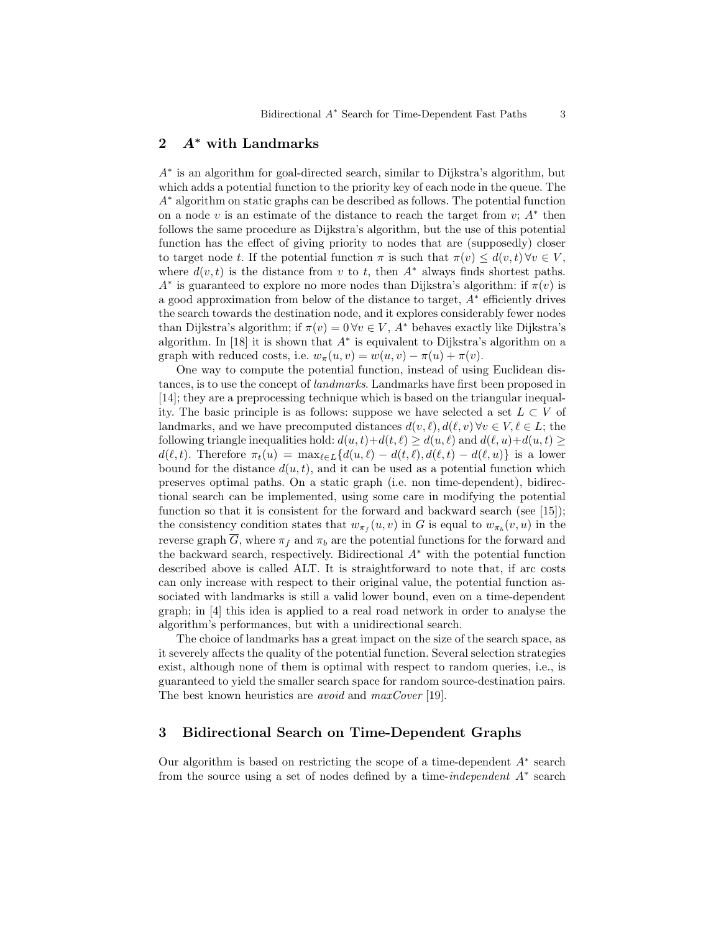# 2 A<sup>∗</sup> with Landmarks

A<sup>∗</sup> is an algorithm for goal-directed search, similar to Dijkstra's algorithm, but which adds a potential function to the priority key of each node in the queue. The A<sup>∗</sup> algorithm on static graphs can be described as follows. The potential function on a node  $v$  is an estimate of the distance to reach the target from  $v$ ;  $A^*$  then follows the same procedure as Dijkstra's algorithm, but the use of this potential function has the effect of giving priority to nodes that are (supposedly) closer to target node t. If the potential function  $\pi$  is such that  $\pi(v) \leq d(v,t) \forall v \in V$ , where  $d(v, t)$  is the distance from v to t, then  $A^*$  always finds shortest paths.  $A^*$  is guaranteed to explore no more nodes than Dijkstra's algorithm: if  $\pi(v)$  is a good approximation from below of the distance to target, A<sup>∗</sup> efficiently drives the search towards the destination node, and it explores considerably fewer nodes than Dijkstra's algorithm; if  $\pi(v) = 0 \forall v \in V$ ,  $A^*$  behaves exactly like Dijkstra's algorithm. In  $[18]$  it is shown that  $A^*$  is equivalent to Dijkstra's algorithm on a graph with reduced costs, i.e.  $w_{\pi}(u, v) = w(u, v) - \pi(u) + \pi(v)$ .

One way to compute the potential function, instead of using Euclidean distances, is to use the concept of landmarks. Landmarks have first been proposed in [14]; they are a preprocessing technique which is based on the triangular inequality. The basic principle is as follows: suppose we have selected a set  $L \subset V$  of landmarks, and we have precomputed distances  $d(v, \ell), d(\ell, v) \forall v \in V, \ell \in L$ ; the following triangle inequalities hold:  $d(u, t) + d(t, \ell) \ge d(u, \ell)$  and  $d(\ell, u) + d(u, t) \ge$  $d(\ell, t)$ . Therefore  $\pi_t(u) = \max_{\ell \in L} \{d(u, \ell) - d(t, \ell), d(\ell, t) - d(\ell, u)\}\$ is a lower bound for the distance  $d(u, t)$ , and it can be used as a potential function which preserves optimal paths. On a static graph (i.e. non time-dependent), bidirectional search can be implemented, using some care in modifying the potential function so that it is consistent for the forward and backward search (see [15]); the consistency condition states that  $w_{\pi_f}(u, v)$  in G is equal to  $w_{\pi_b}(v, u)$  in the reverse graph  $\overline{G}$ , where  $\pi_f$  and  $\pi_b$  are the potential functions for the forward and the backward search, respectively. Bidirectional  $A^*$  with the potential function described above is called ALT. It is straightforward to note that, if arc costs can only increase with respect to their original value, the potential function associated with landmarks is still a valid lower bound, even on a time-dependent graph; in [4] this idea is applied to a real road network in order to analyse the algorithm's performances, but with a unidirectional search.

The choice of landmarks has a great impact on the size of the search space, as it severely affects the quality of the potential function. Several selection strategies exist, although none of them is optimal with respect to random queries, i.e., is guaranteed to yield the smaller search space for random source-destination pairs. The best known heuristics are *avoid* and *maxCover* [19].

# 3 Bidirectional Search on Time-Dependent Graphs

Our algorithm is based on restricting the scope of a time-dependent  $A^*$  search from the source using a set of nodes defined by a time-independent A<sup>∗</sup> search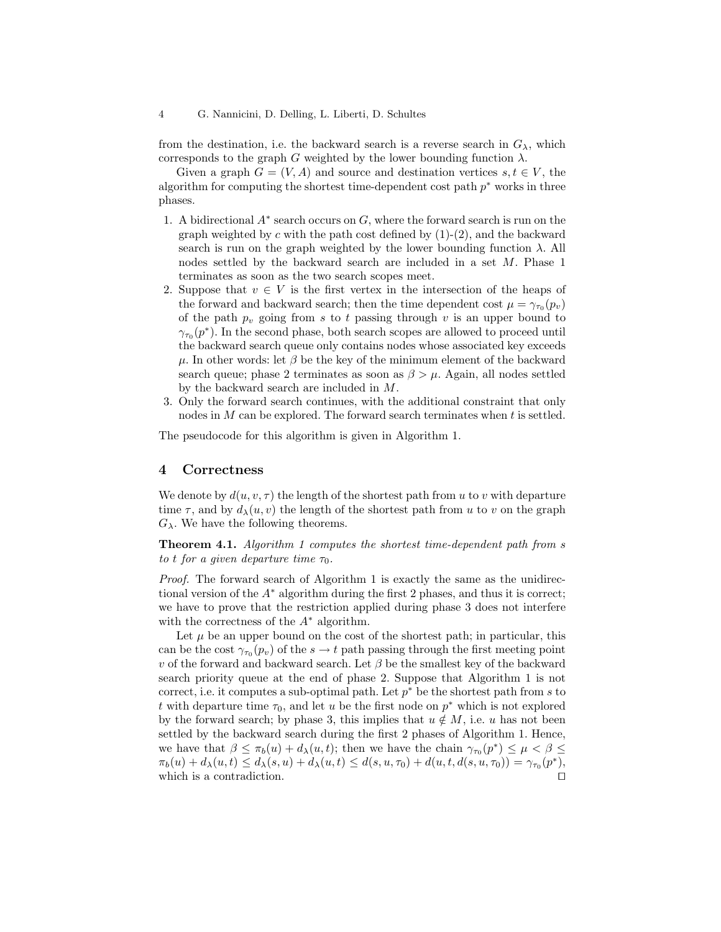from the destination, i.e. the backward search is a reverse search in  $G_{\lambda}$ , which corresponds to the graph G weighted by the lower bounding function  $\lambda$ .

Given a graph  $G = (V, A)$  and source and destination vertices  $s, t \in V$ , the algorithm for computing the shortest time-dependent cost path  $p^*$  works in three phases.

- 1. A bidirectional  $A^*$  search occurs on  $G$ , where the forward search is run on the graph weighted by c with the path cost defined by  $(1)-(2)$ , and the backward search is run on the graph weighted by the lower bounding function  $\lambda$ . All nodes settled by the backward search are included in a set M. Phase 1 terminates as soon as the two search scopes meet.
- 2. Suppose that  $v \in V$  is the first vertex in the intersection of the heaps of the forward and backward search; then the time dependent cost  $\mu = \gamma_{\tau_0}(p_v)$ of the path  $p_v$  going from s to t passing through v is an upper bound to  $\gamma_{\tau_0}(p^*)$ . In the second phase, both search scopes are allowed to proceed until the backward search queue only contains nodes whose associated key exceeds  $\mu$ . In other words: let  $\beta$  be the key of the minimum element of the backward search queue; phase 2 terminates as soon as  $\beta > \mu$ . Again, all nodes settled by the backward search are included in M.
- 3. Only the forward search continues, with the additional constraint that only nodes in M can be explored. The forward search terminates when t is settled.

The pseudocode for this algorithm is given in Algorithm 1.

#### 4 Correctness

We denote by  $d(u, v, \tau)$  the length of the shortest path from u to v with departure time  $\tau$ , and by  $d_{\lambda}(u, v)$  the length of the shortest path from u to v on the graph  $G_{\lambda}$ . We have the following theorems.

Theorem 4.1. Algorithm 1 computes the shortest time-dependent path from s to t for a given departure time  $\tau_0$ .

Proof. The forward search of Algorithm 1 is exactly the same as the unidirectional version of the  $A^*$  algorithm during the first 2 phases, and thus it is correct; we have to prove that the restriction applied during phase 3 does not interfere with the correctness of the  $A^*$  algorithm.

Let  $\mu$  be an upper bound on the cost of the shortest path; in particular, this can be the cost  $\gamma_{\tau_0}(p_v)$  of the  $s \to t$  path passing through the first meeting point v of the forward and backward search. Let  $\beta$  be the smallest key of the backward search priority queue at the end of phase 2. Suppose that Algorithm 1 is not correct, i.e. it computes a sub-optimal path. Let  $p^*$  be the shortest path from s to t with departure time  $\tau_0$ , and let u be the first node on  $p^*$  which is not explored by the forward search; by phase 3, this implies that  $u \notin M$ , i.e. u has not been settled by the backward search during the first 2 phases of Algorithm 1. Hence, we have that  $\beta \leq \pi_b(u) + d_\lambda(u, t)$ ; then we have the chain  $\gamma_{\tau_0}(p^*) \leq \mu < \beta \leq$  $\pi_b(u) + d_\lambda(u, t) \leq d_\lambda(s, u) + d_\lambda(u, t) \leq d(s, u, \tau_0) + d(u, t, d(s, u, \tau_0)) = \gamma_{\tau_0}(p^*),$ which is a contradiction.  $\Box$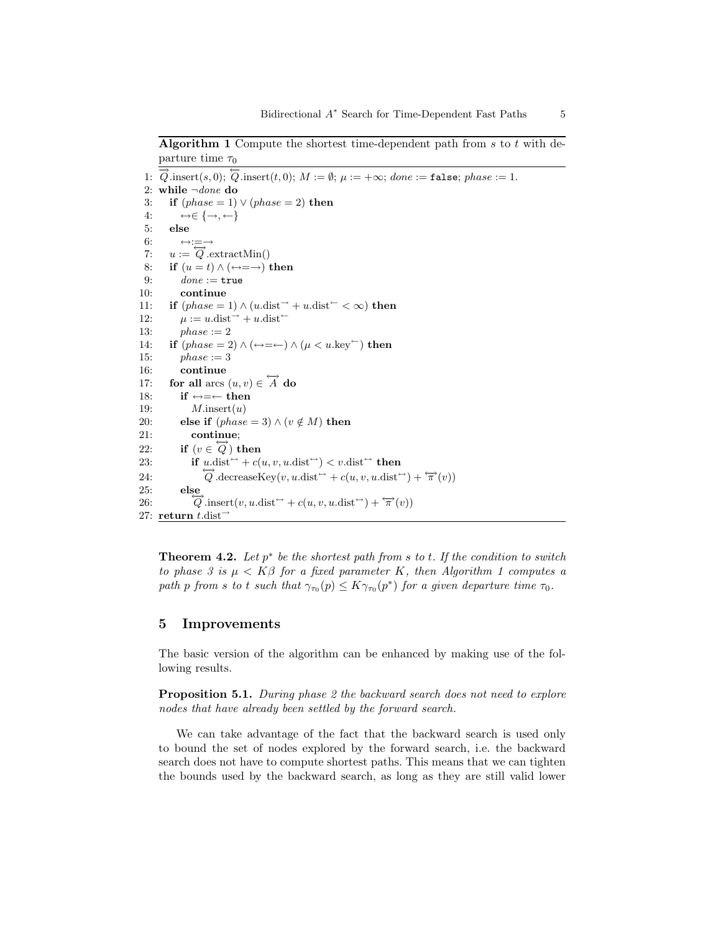Algorithm 1 Compute the shortest time-dependent path from  $s$  to  $t$  with departure time  $\tau_0$ 

```
1: \overrightarrow{Q}.insert(s, 0); \overleftarrow{Q}.insert(t, 0); M := \emptyset; \mu := +\infty; done := false; phase := 1.
 2: while \neg done do
 3: if (phase = 1) \vee (phase = 2) then
 4: \leftrightarrow \in \{\rightarrow, \leftarrow\}5: else
 6: \leftrightarrow :=\overrightarrow{a}: \overrightarrow{Q}. extractMin()
 8: if (u = t) \wedge (\leftrightarrow = \rightarrow) then
9: done := true<br>10: continue
              continue
11: if (phase = 1) \wedge (u \cdot dist^{-1} + u \cdot dist^{-1} < \infty) then
12: \mu := u \cdot \text{dist}^{-} + u \cdot \text{dist}^{-}13: phase := 214: if (phase = 2) \wedge (\leftrightarrow = \leftarrow) \wedge (\mu < u \cdot \text{key}^{\leftarrow}) then
15: phase := 316: continue
17: for all arcs (u, v) \in \overleftrightarrow{A} do
18: if \leftrightarrow=\leftarrow then
19: M.insert(u)20: else if (phase = 3) \wedge (v \notin M) then
21: continue;
22: if (v \in \overleftrightarrow{Q}) then
23: if u \cdot \text{dist}^{\leftrightarrow} + c(u, v, u \cdot \text{dist}^{\leftrightarrow}) < v \cdot \text{dist}^{\leftrightarrow} then
24:
                      \overleftrightarrow{Q}.decreaseKey(v, u.\text{dist}^{\leftrightarrow} + c(u, v, u.\text{dist}^{\leftrightarrow}) + \overleftrightarrow{\pi}(v))25: else
26:
                  Q insert(v, u dist<sup>\leftrightarrow</sup> + c(u, v, u dist<sup>\leftrightarrow</sup>) + \overleftrightarrow{\pi}(v))
27: return t.dist^-
```
**Theorem 4.2.** Let  $p^*$  be the shortest path from s to t. If the condition to switch to phase 3 is  $\mu < K\beta$  for a fixed parameter K, then Algorithm 1 computes a path p from s to t such that  $\gamma_{\tau_0}(p) \leq K \gamma_{\tau_0}(p^*)$  for a given departure time  $\tau_0$ .

#### 5 Improvements

The basic version of the algorithm can be enhanced by making use of the following results.

**Proposition 5.1.** During phase 2 the backward search does not need to explore nodes that have already been settled by the forward search.

We can take advantage of the fact that the backward search is used only to bound the set of nodes explored by the forward search, i.e. the backward search does not have to compute shortest paths. This means that we can tighten the bounds used by the backward search, as long as they are still valid lower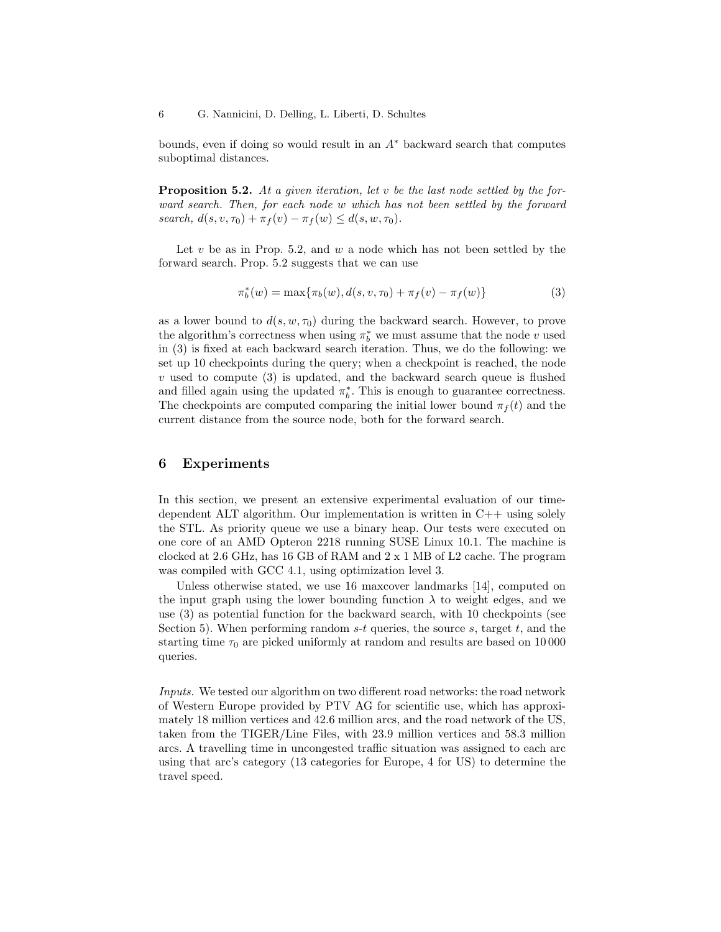bounds, even if doing so would result in an  $A^*$  backward search that computes suboptimal distances.

**Proposition 5.2.** At a given iteration, let v be the last node settled by the forward search. Then, for each node w which has not been settled by the forward search,  $d(s, v, \tau_0) + \pi_f(v) - \pi_f(w) \leq d(s, w, \tau_0)$ .

Let  $v$  be as in Prop. 5.2, and  $w$  a node which has not been settled by the forward search. Prop. 5.2 suggests that we can use

$$
\pi_b^*(w) = \max\{\pi_b(w), d(s, v, \tau_0) + \pi_f(v) - \pi_f(w)\}\tag{3}
$$

as a lower bound to  $d(s, w, \tau_0)$  during the backward search. However, to prove the algorithm's correctness when using  $\pi_b^*$  we must assume that the node  $v$  used in (3) is fixed at each backward search iteration. Thus, we do the following: we set up 10 checkpoints during the query; when a checkpoint is reached, the node  $v$  used to compute  $(3)$  is updated, and the backward search queue is flushed and filled again using the updated  $\pi_b^*$ . This is enough to guarantee correctness. The checkpoints are computed comparing the initial lower bound  $\pi_f(t)$  and the current distance from the source node, both for the forward search.

### 6 Experiments

In this section, we present an extensive experimental evaluation of our timedependent ALT algorithm. Our implementation is written in  $C++$  using solely the STL. As priority queue we use a binary heap. Our tests were executed on one core of an AMD Opteron 2218 running SUSE Linux 10.1. The machine is clocked at 2.6 GHz, has 16 GB of RAM and 2 x 1 MB of L2 cache. The program was compiled with GCC 4.1, using optimization level 3.

Unless otherwise stated, we use 16 maxcover landmarks [14], computed on the input graph using the lower bounding function  $\lambda$  to weight edges, and we use (3) as potential function for the backward search, with 10 checkpoints (see Section 5). When performing random  $s-t$  queries, the source  $s$ , target  $t$ , and the starting time  $\tau_0$  are picked uniformly at random and results are based on 10 000 queries.

Inputs. We tested our algorithm on two different road networks: the road network of Western Europe provided by PTV AG for scientific use, which has approximately 18 million vertices and 42.6 million arcs, and the road network of the US, taken from the TIGER/Line Files, with 23.9 million vertices and 58.3 million arcs. A travelling time in uncongested traffic situation was assigned to each arc using that arc's category (13 categories for Europe, 4 for US) to determine the travel speed.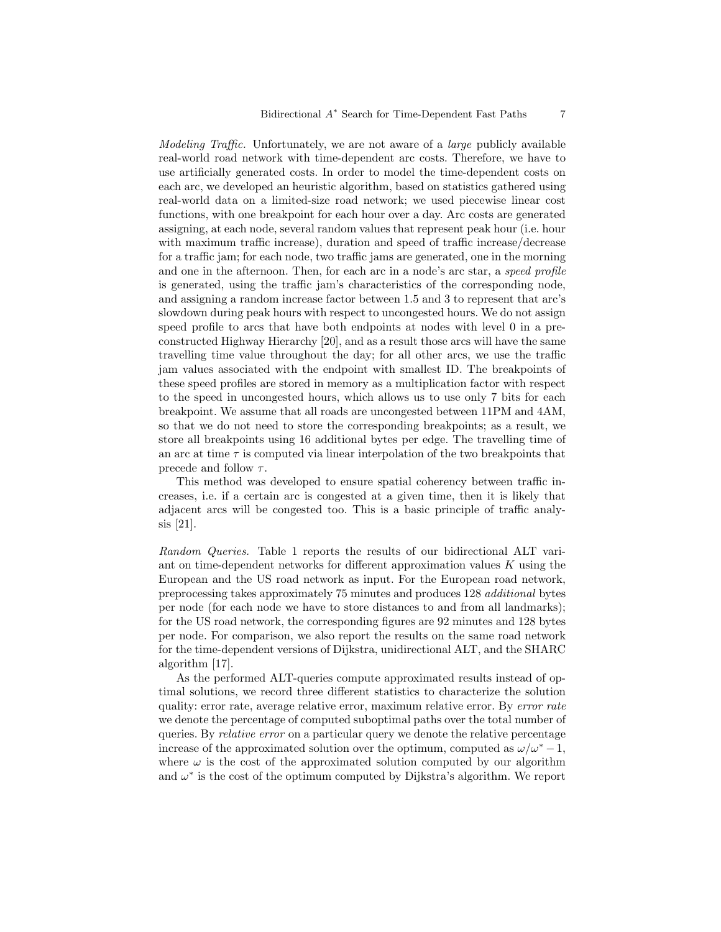Modeling Traffic. Unfortunately, we are not aware of a large publicly available real-world road network with time-dependent arc costs. Therefore, we have to use artificially generated costs. In order to model the time-dependent costs on each arc, we developed an heuristic algorithm, based on statistics gathered using real-world data on a limited-size road network; we used piecewise linear cost functions, with one breakpoint for each hour over a day. Arc costs are generated assigning, at each node, several random values that represent peak hour (i.e. hour with maximum traffic increase), duration and speed of traffic increase/decrease for a traffic jam; for each node, two traffic jams are generated, one in the morning and one in the afternoon. Then, for each arc in a node's arc star, a speed profile is generated, using the traffic jam's characteristics of the corresponding node, and assigning a random increase factor between 1.5 and 3 to represent that arc's slowdown during peak hours with respect to uncongested hours. We do not assign speed profile to arcs that have both endpoints at nodes with level 0 in a preconstructed Highway Hierarchy [20], and as a result those arcs will have the same travelling time value throughout the day; for all other arcs, we use the traffic jam values associated with the endpoint with smallest ID. The breakpoints of these speed profiles are stored in memory as a multiplication factor with respect to the speed in uncongested hours, which allows us to use only 7 bits for each breakpoint. We assume that all roads are uncongested between 11PM and 4AM, so that we do not need to store the corresponding breakpoints; as a result, we store all breakpoints using 16 additional bytes per edge. The travelling time of an arc at time  $\tau$  is computed via linear interpolation of the two breakpoints that precede and follow  $\tau$ .

This method was developed to ensure spatial coherency between traffic increases, i.e. if a certain arc is congested at a given time, then it is likely that adjacent arcs will be congested too. This is a basic principle of traffic analysis [21].

Random Queries. Table 1 reports the results of our bidirectional ALT variant on time-dependent networks for different approximation values  $K$  using the European and the US road network as input. For the European road network, preprocessing takes approximately 75 minutes and produces 128 additional bytes per node (for each node we have to store distances to and from all landmarks); for the US road network, the corresponding figures are 92 minutes and 128 bytes per node. For comparison, we also report the results on the same road network for the time-dependent versions of Dijkstra, unidirectional ALT, and the SHARC algorithm [17].

As the performed ALT-queries compute approximated results instead of optimal solutions, we record three different statistics to characterize the solution quality: error rate, average relative error, maximum relative error. By error rate we denote the percentage of computed suboptimal paths over the total number of queries. By relative error on a particular query we denote the relative percentage increase of the approximated solution over the optimum, computed as  $\omega/\omega^* - 1$ , where  $\omega$  is the cost of the approximated solution computed by our algorithm and  $\omega^*$  is the cost of the optimum computed by Dijkstra's algorithm. We report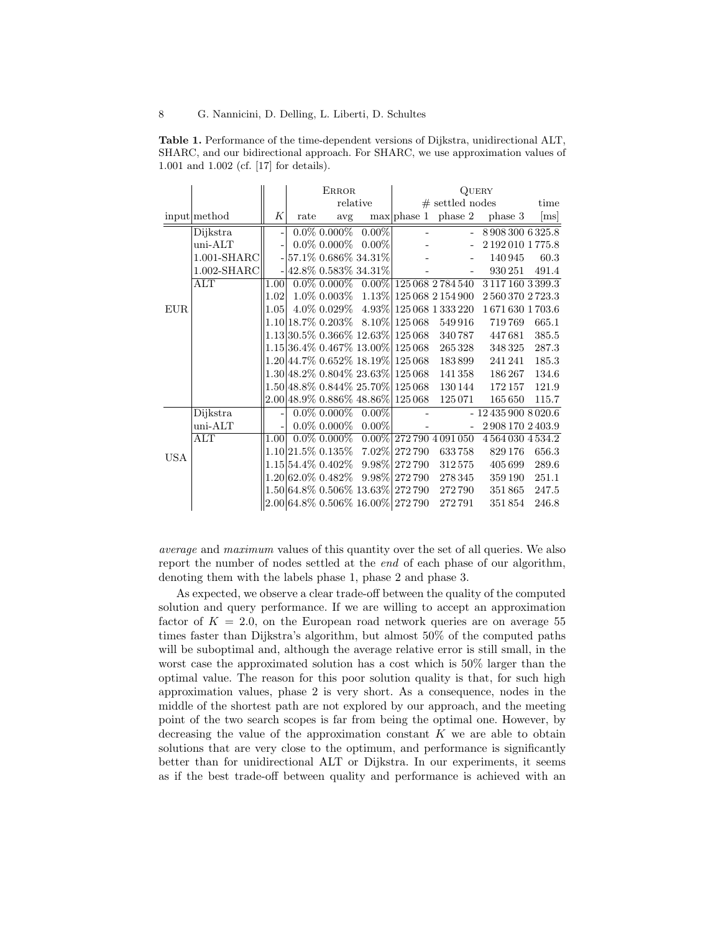|                                             |  |  | <b>Table 1.</b> Performance of the time-dependent versions of Dijkstra, unidirectional ALT, |  |
|---------------------------------------------|--|--|---------------------------------------------------------------------------------------------|--|
|                                             |  |  | SHARC, and our bidirectional approach. For SHARC, we use approximation values of            |  |
| $1.001$ and $1.002$ (cf. [17] for details). |  |  |                                                                                             |  |

|            |                         |                   | <b>ERROR</b> |                   |                            | QUERY                                        |                                              |                               |       |  |
|------------|-------------------------|-------------------|--------------|-------------------|----------------------------|----------------------------------------------|----------------------------------------------|-------------------------------|-------|--|
|            |                         |                   |              | relative          |                            | $#$ settled nodes                            |                                              |                               | time  |  |
|            | input method            | K                 | rate         | avg               |                            |                                              |                                              | $max$ phase 1 phase 2 phase 3 | [ms]  |  |
|            | Dijkstra                | ÷                 |              |                   | $0.0\%$ 0.000% 0.00%       | $\sim$                                       | $\omega$ .                                   | 8 908 300 6 3 25.8            |       |  |
|            | $uni-ALT$               |                   |              | $0.0\%$ 0.000%    | $0.00\%$                   |                                              |                                              | 2 192 010 1 775.8             |       |  |
|            | $1.001$ -SHARC          |                   |              |                   | $-57.1\%$ 0.686\% 34.31\%  |                                              |                                              | 140945                        | 60.3  |  |
|            | $1.002$ -SHARC          |                   |              |                   | $-142.8\%$ 0.583\% 34.31\% |                                              |                                              | 930 251                       | 491.4 |  |
|            | ALT                     | 1.00 <sub>l</sub> |              |                   |                            |                                              | $0.0\%$ 0.000\% 0.00\% 125 068 2 784 540     | 3 1 1 7 1 6 0 3 3 9 9 . 3     |       |  |
| <b>EUR</b> |                         | 1.02              |              |                   |                            |                                              | $1.0\%$ 0.003\% 1.13\% 125 068 2 154 900     | 25603702723.3                 |       |  |
|            |                         | 1.05              |              |                   |                            |                                              | $4.0\%$ 0.029\% $4.93\%$   125 068 1 333 220 | 1671630 1703.6                |       |  |
|            |                         |                   |              |                   |                            | $1.10 18.7\% 0.203\% 8.10\% 125068$          | 549916                                       | 719769                        | 665.1 |  |
|            |                         |                   |              |                   |                            | $1.13 30.5\%$ 0.366\% $12.63\% 125068$       | 340 787                                      | 447681                        | 385.5 |  |
|            |                         |                   |              |                   |                            | $1.15 36.4\% 0.467\% 13.00\% 125068$         | 265 328                                      | 348 325                       | 287.3 |  |
|            |                         |                   |              |                   |                            | $1.20 44.7\% 0.652\% 18.19\% 125068$         | 183899                                       | 241241                        | 185.3 |  |
|            |                         |                   |              |                   |                            | $1.30 48.2\%$ $0.804\%$ $23.63\%$ $125\,068$ | 141 358                                      | 186 267                       | 134.6 |  |
|            |                         |                   |              |                   |                            | $1.50 48.8\%$ 0.844\% 25.70\% 125068         | 130 144                                      | 172 157                       | 121.9 |  |
|            |                         |                   |              |                   |                            | $2.00 48.9\%$ 0.886 $\%$ 48.86 $\%$ 125 068  | 125071                                       | 165650                        | 115.7 |  |
| <b>USA</b> | Dijkstra                | $\overline{a}$    |              | $0.0\%$ $0.000\%$ | $0.00\%$                   | $\sim$                                       |                                              | $-124359008020.6$             |       |  |
|            | $uni-ALT$               |                   |              |                   | $0.0\%$ 0.000\% 0.00\%     |                                              | $\overline{\phantom{a}}$                     | 29081702403.9                 |       |  |
|            | $\overline{\text{ALT}}$ | 1.00              |              | $0.0\%$ 0.000%    |                            |                                              | $0.00\%$   272 790 4 091 050                 | 45640304534.2                 |       |  |
|            |                         |                   |              |                   |                            | $1.10 21.5\% 0.135\% 7.02\% 272790$          | 633758                                       | 829 176                       | 656.3 |  |
|            |                         |                   |              |                   |                            | $1.15 54.4\% 0.402\% 9.98\% 272790$          | 312575                                       | 405699                        | 289.6 |  |
|            |                         |                   |              |                   |                            | $1.20 62.0\% 0.482\% 9.98\% 272.790$         | 278 345                                      | 359 190                       | 251.1 |  |
|            |                         |                   |              |                   |                            | $1.50 64.8\%0.506\%13.63\% 272\,790$         | 272790                                       | 351865                        | 247.5 |  |
|            |                         |                   |              |                   |                            | $2.00 64.8\%0.506\%16.00\% 272790$           | 272791                                       | 351854                        | 246.8 |  |

average and maximum values of this quantity over the set of all queries. We also report the number of nodes settled at the end of each phase of our algorithm, denoting them with the labels phase 1, phase 2 and phase 3.

As expected, we observe a clear trade-off between the quality of the computed solution and query performance. If we are willing to accept an approximation factor of  $K = 2.0$ , on the European road network queries are on average 55 times faster than Dijkstra's algorithm, but almost 50% of the computed paths will be suboptimal and, although the average relative error is still small, in the worst case the approximated solution has a cost which is 50% larger than the optimal value. The reason for this poor solution quality is that, for such high approximation values, phase 2 is very short. As a consequence, nodes in the middle of the shortest path are not explored by our approach, and the meeting point of the two search scopes is far from being the optimal one. However, by decreasing the value of the approximation constant  $K$  we are able to obtain solutions that are very close to the optimum, and performance is significantly better than for unidirectional ALT or Dijkstra. In our experiments, it seems as if the best trade-off between quality and performance is achieved with an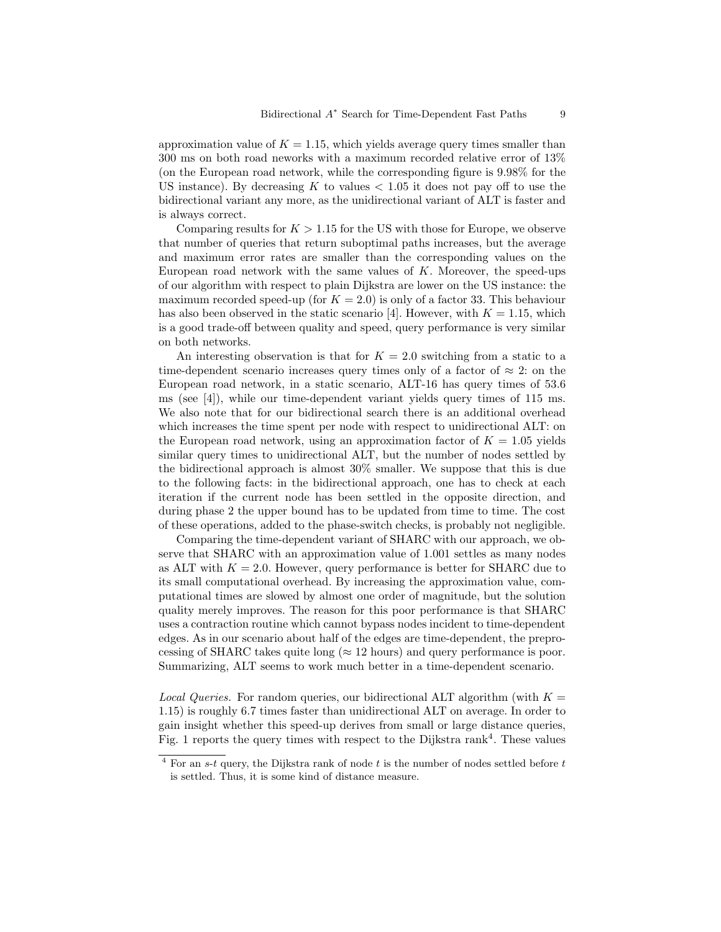approximation value of  $K = 1.15$ , which yields average query times smaller than 300 ms on both road neworks with a maximum recorded relative error of 13% (on the European road network, while the corresponding figure is 9.98% for the US instance). By decreasing  $K$  to values  $< 1.05$  it does not pay off to use the bidirectional variant any more, as the unidirectional variant of ALT is faster and is always correct.

Comparing results for  $K > 1.15$  for the US with those for Europe, we observe that number of queries that return suboptimal paths increases, but the average and maximum error rates are smaller than the corresponding values on the European road network with the same values of  $K$ . Moreover, the speed-ups of our algorithm with respect to plain Dijkstra are lower on the US instance: the maximum recorded speed-up (for  $K = 2.0$ ) is only of a factor 33. This behaviour has also been observed in the static scenario [4]. However, with  $K = 1.15$ , which is a good trade-off between quality and speed, query performance is very similar on both networks.

An interesting observation is that for  $K = 2.0$  switching from a static to a time-dependent scenario increases query times only of a factor of  $\approx 2$ : on the European road network, in a static scenario, ALT-16 has query times of 53.6 ms (see [4]), while our time-dependent variant yields query times of 115 ms. We also note that for our bidirectional search there is an additional overhead which increases the time spent per node with respect to unidirectional ALT: on the European road network, using an approximation factor of  $K = 1.05$  yields similar query times to unidirectional ALT, but the number of nodes settled by the bidirectional approach is almost 30% smaller. We suppose that this is due to the following facts: in the bidirectional approach, one has to check at each iteration if the current node has been settled in the opposite direction, and during phase 2 the upper bound has to be updated from time to time. The cost of these operations, added to the phase-switch checks, is probably not negligible.

Comparing the time-dependent variant of SHARC with our approach, we observe that SHARC with an approximation value of 1.001 settles as many nodes as ALT with  $K = 2.0$ . However, query performance is better for SHARC due to its small computational overhead. By increasing the approximation value, computational times are slowed by almost one order of magnitude, but the solution quality merely improves. The reason for this poor performance is that SHARC uses a contraction routine which cannot bypass nodes incident to time-dependent edges. As in our scenario about half of the edges are time-dependent, the preprocessing of SHARC takes quite long ( $\approx$  12 hours) and query performance is poor. Summarizing, ALT seems to work much better in a time-dependent scenario.

*Local Queries.* For random queries, our bidirectional ALT algorithm (with  $K =$ 1.15) is roughly 6.7 times faster than unidirectional ALT on average. In order to gain insight whether this speed-up derives from small or large distance queries, Fig. 1 reports the query times with respect to the Dijkstra rank<sup>4</sup>. These values

 $4$  For an s-t query, the Dijkstra rank of node t is the number of nodes settled before t is settled. Thus, it is some kind of distance measure.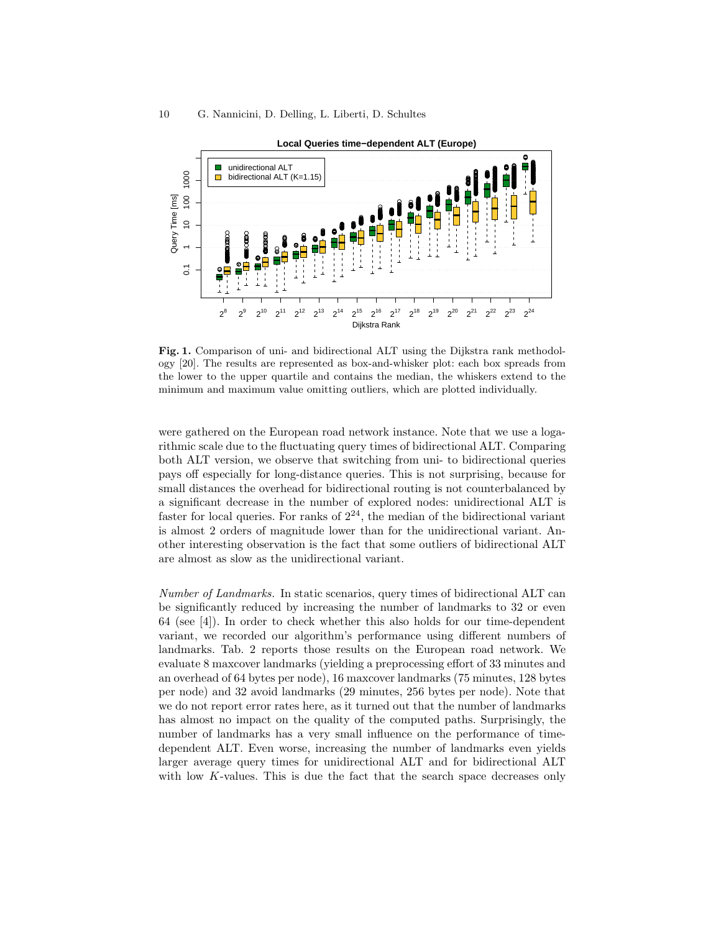

Fig. 1. Comparison of uni- and bidirectional ALT using the Dijkstra rank methodology [20]. The results are represented as box-and-whisker plot: each box spreads from the lower to the upper quartile and contains the median, the whiskers extend to the minimum and maximum value omitting outliers, which are plotted individually.

were gathered on the European road network instance. Note that we use a logarithmic scale due to the fluctuating query times of bidirectional ALT. Comparing both ALT version, we observe that switching from uni- to bidirectional queries pays off especially for long-distance queries. This is not surprising, because for small distances the overhead for bidirectional routing is not counterbalanced by a significant decrease in the number of explored nodes: unidirectional ALT is faster for local queries. For ranks of  $2^{24}$ , the median of the bidirectional variant is almost 2 orders of magnitude lower than for the unidirectional variant. Another interesting observation is the fact that some outliers of bidirectional ALT are almost as slow as the unidirectional variant.

Number of Landmarks. In static scenarios, query times of bidirectional ALT can be significantly reduced by increasing the number of landmarks to 32 or even 64 (see [4]). In order to check whether this also holds for our time-dependent variant, we recorded our algorithm's performance using different numbers of landmarks. Tab. 2 reports those results on the European road network. We evaluate 8 maxcover landmarks (yielding a preprocessing effort of 33 minutes and an overhead of 64 bytes per node), 16 maxcover landmarks (75 minutes, 128 bytes per node) and 32 avoid landmarks (29 minutes, 256 bytes per node). Note that we do not report error rates here, as it turned out that the number of landmarks has almost no impact on the quality of the computed paths. Surprisingly, the number of landmarks has a very small influence on the performance of timedependent ALT. Even worse, increasing the number of landmarks even yields larger average query times for unidirectional ALT and for bidirectional ALT with low  $K$ -values. This is due the fact that the search space decreases only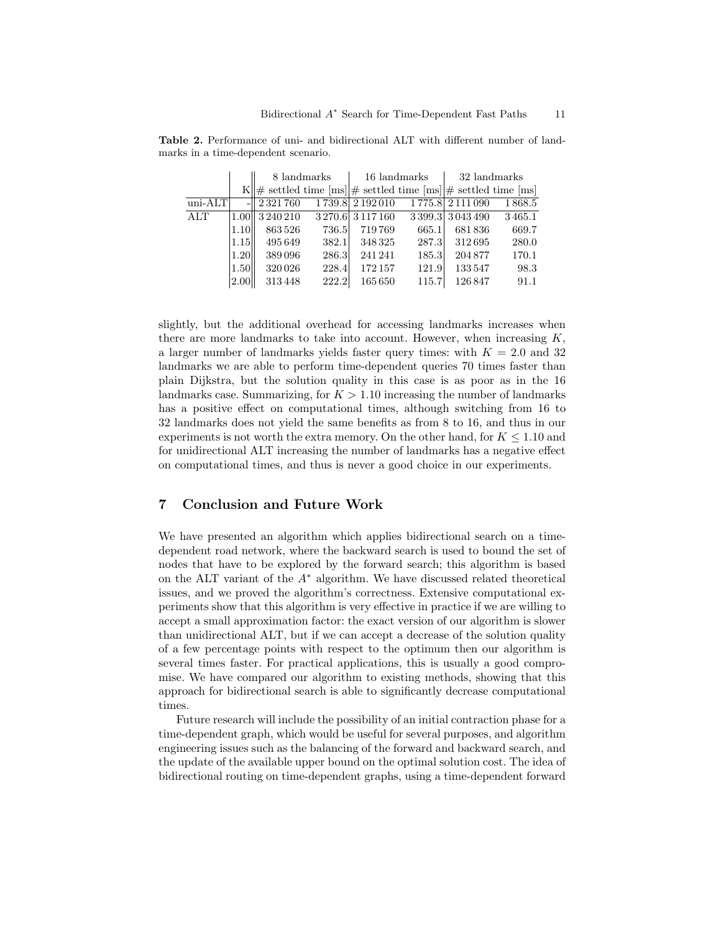|           |                |                                                                                               | 8 landmarks | 16 landmarks      |       | 32 landmarks      |        |
|-----------|----------------|-----------------------------------------------------------------------------------------------|-------------|-------------------|-------|-------------------|--------|
|           | K              | $\ \#$ settled time $\text{[ms]} \#$ settled time $\text{[ms]} \#$ settled time $\text{[ms]}$ |             |                   |       |                   |        |
| $uni-ATT$ |                | $-$   2321760                                                                                 |             | 1739.8 2192010    |       | 1 775.8 2 111 090 | 1868.5 |
| ALT       |                | 1.00 3 240 210                                                                                |             | 3 270.6 3 117 160 |       | 3 399.3 3 043 490 | 3465.1 |
|           | 1.10           | 863526                                                                                        | 736.5       | 719769            | 665.1 | 681836            | 669.7  |
|           | 1.15           | 495649                                                                                        | 382.1       | 348325            | 287.3 | 312695            | 280.0  |
|           | 1.20           | 389096                                                                                        | 286.3       | 241 241           | 185.3 | 204877            | 170.1  |
|           | 1.50           | 320026                                                                                        | 228.4       | 172157            | 121.9 | 133547            | 98.3   |
|           | $ 2.00\rangle$ | 313448                                                                                        | 222.2       | 165650            | 115.7 | 126847            | 91.1   |

Table 2. Performance of uni- and bidirectional ALT with different number of landmarks in a time-dependent scenario.

slightly, but the additional overhead for accessing landmarks increases when there are more landmarks to take into account. However, when increasing  $K$ , a larger number of landmarks yields faster query times: with  $K = 2.0$  and 32 landmarks we are able to perform time-dependent queries 70 times faster than plain Dijkstra, but the solution quality in this case is as poor as in the 16 landmarks case. Summarizing, for  $K > 1.10$  increasing the number of landmarks has a positive effect on computational times, although switching from 16 to 32 landmarks does not yield the same benefits as from 8 to 16, and thus in our experiments is not worth the extra memory. On the other hand, for  $K \leq 1.10$  and for unidirectional ALT increasing the number of landmarks has a negative effect on computational times, and thus is never a good choice in our experiments.

# 7 Conclusion and Future Work

We have presented an algorithm which applies bidirectional search on a timedependent road network, where the backward search is used to bound the set of nodes that have to be explored by the forward search; this algorithm is based on the ALT variant of the  $A^*$  algorithm. We have discussed related theoretical issues, and we proved the algorithm's correctness. Extensive computational experiments show that this algorithm is very effective in practice if we are willing to accept a small approximation factor: the exact version of our algorithm is slower than unidirectional ALT, but if we can accept a decrease of the solution quality of a few percentage points with respect to the optimum then our algorithm is several times faster. For practical applications, this is usually a good compromise. We have compared our algorithm to existing methods, showing that this approach for bidirectional search is able to significantly decrease computational times.

Future research will include the possibility of an initial contraction phase for a time-dependent graph, which would be useful for several purposes, and algorithm engineering issues such as the balancing of the forward and backward search, and the update of the available upper bound on the optimal solution cost. The idea of bidirectional routing on time-dependent graphs, using a time-dependent forward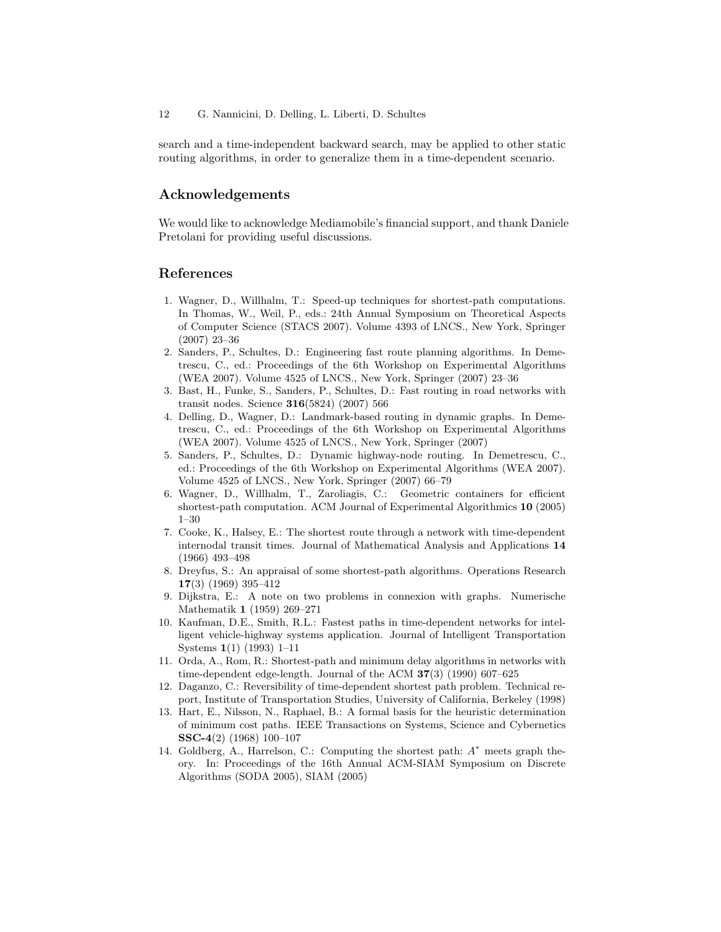#### 12 G. Nannicini, D. Delling, L. Liberti, D. Schultes

search and a time-independent backward search, may be applied to other static routing algorithms, in order to generalize them in a time-dependent scenario.

### Acknowledgements

We would like to acknowledge Mediamobile's financial support, and thank Daniele Pretolani for providing useful discussions.

#### References

- 1. Wagner, D., Willhalm, T.: Speed-up techniques for shortest-path computations. In Thomas, W., Weil, P., eds.: 24th Annual Symposium on Theoretical Aspects of Computer Science (STACS 2007). Volume 4393 of LNCS., New York, Springer (2007) 23–36
- 2. Sanders, P., Schultes, D.: Engineering fast route planning algorithms. In Demetrescu, C., ed.: Proceedings of the 6th Workshop on Experimental Algorithms (WEA 2007). Volume 4525 of LNCS., New York, Springer (2007) 23–36
- 3. Bast, H., Funke, S., Sanders, P., Schultes, D.: Fast routing in road networks with transit nodes. Science 316(5824) (2007) 566
- 4. Delling, D., Wagner, D.: Landmark-based routing in dynamic graphs. In Demetrescu, C., ed.: Proceedings of the 6th Workshop on Experimental Algorithms (WEA 2007). Volume 4525 of LNCS., New York, Springer (2007)
- 5. Sanders, P., Schultes, D.: Dynamic highway-node routing. In Demetrescu, C., ed.: Proceedings of the 6th Workshop on Experimental Algorithms (WEA 2007). Volume 4525 of LNCS., New York, Springer (2007) 66–79
- 6. Wagner, D., Willhalm, T., Zaroliagis, C.: Geometric containers for efficient shortest-path computation. ACM Journal of Experimental Algorithmics 10 (2005) 1–30
- 7. Cooke, K., Halsey, E.: The shortest route through a network with time-dependent internodal transit times. Journal of Mathematical Analysis and Applications 14 (1966) 493–498
- 8. Dreyfus, S.: An appraisal of some shortest-path algorithms. Operations Research 17(3) (1969) 395–412
- 9. Dijkstra, E.: A note on two problems in connexion with graphs. Numerische Mathematik 1 (1959) 269–271
- 10. Kaufman, D.E., Smith, R.L.: Fastest paths in time-dependent networks for intelligent vehicle-highway systems application. Journal of Intelligent Transportation Systems 1(1) (1993) 1–11
- 11. Orda, A., Rom, R.: Shortest-path and minimum delay algorithms in networks with time-dependent edge-length. Journal of the ACM  $37(3)$  (1990) 607–625
- 12. Daganzo, C.: Reversibility of time-dependent shortest path problem. Technical report, Institute of Transportation Studies, University of California, Berkeley (1998)
- 13. Hart, E., Nilsson, N., Raphael, B.: A formal basis for the heuristic determination of minimum cost paths. IEEE Transactions on Systems, Science and Cybernetics SSC-4(2) (1968) 100–107
- 14. Goldberg, A., Harrelson, C.: Computing the shortest path:  $A^*$  meets graph theory. In: Proceedings of the 16th Annual ACM-SIAM Symposium on Discrete Algorithms (SODA 2005), SIAM (2005)